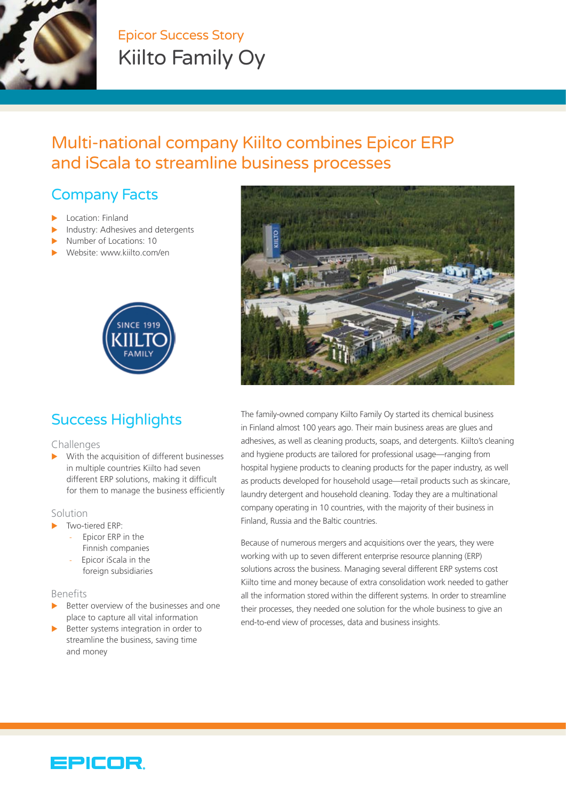

# Epicor Success Story Kiilto Family Oy

# Multi-national company Kiilto combines Epicor ERP and iScala to streamline business processes

## Company Facts

- Location: Finland
- Industry: Adhesives and detergents
- Number of Locations: 10
- Website: www.kiilto.com/en



## Success Highlights

#### Challenges

With the acquisition of different businesses in multiple countries Kiilto had seven different ERP solutions, making it difficult for them to manage the business efficiently

#### Solution

- Two-tiered ERP:
	- Epicor ERP in the Finnish companies
	- Epicor iScala in the foreign subsidiaries

#### Benefits

- Better overview of the businesses and one place to capture all vital information
- Better systems integration in order to streamline the business, saving time and money



The family-owned company Kiilto Family Oy started its chemical business in Finland almost 100 years ago. Their main business areas are glues and adhesives, as well as cleaning products, soaps, and detergents. Kiilto's cleaning and hygiene products are tailored for professional usage—ranging from hospital hygiene products to cleaning products for the paper industry, as well as products developed for household usage—retail products such as skincare, laundry detergent and household cleaning. Today they are a multinational company operating in 10 countries, with the majority of their business in Finland, Russia and the Baltic countries.

Because of numerous mergers and acquisitions over the years, they were working with up to seven different enterprise resource planning (ERP) solutions across the business. Managing several different ERP systems cost Kiilto time and money because of extra consolidation work needed to gather all the information stored within the different systems. In order to streamline their processes, they needed one solution for the whole business to give an end-to-end view of processes, data and business insights.

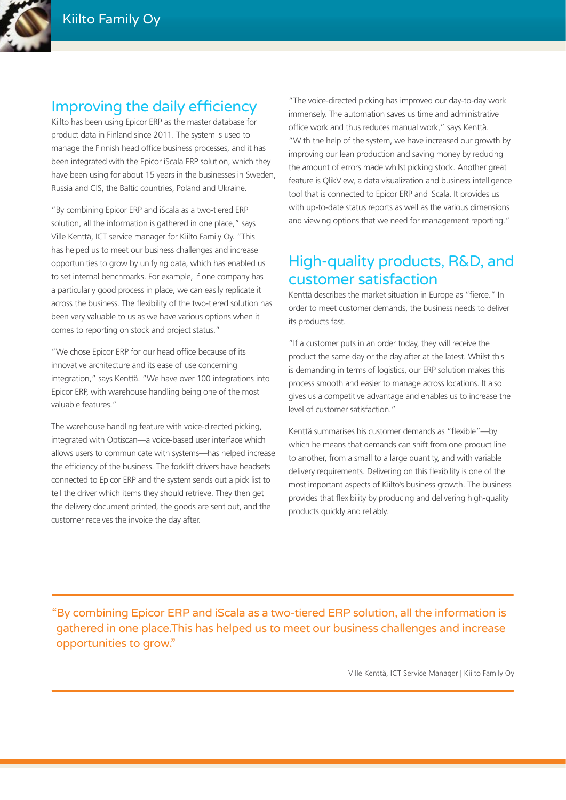

### Improving the daily efficiency

Kiilto has been using Epicor ERP as the master database for product data in Finland since 2011. The system is used to manage the Finnish head office business processes, and it has been integrated with the Epicor iScala ERP solution, which they have been using for about 15 years in the businesses in Sweden, Russia and CIS, the Baltic countries, Poland and Ukraine.

"By combining Epicor ERP and iScala as a two-tiered ERP solution, all the information is gathered in one place," says Ville Kenttä, ICT service manager for Kiilto Family Oy. "This has helped us to meet our business challenges and increase opportunities to grow by unifying data, which has enabled us to set internal benchmarks. For example, if one company has a particularly good process in place, we can easily replicate it across the business. The flexibility of the two-tiered solution has been very valuable to us as we have various options when it comes to reporting on stock and project status."

"We chose Epicor ERP for our head office because of its innovative architecture and its ease of use concerning integration," says Kenttä. "We have over 100 integrations into Epicor ERP, with warehouse handling being one of the most valuable features."

The warehouse handling feature with voice-directed picking, integrated with Optiscan—a voice-based user interface which allows users to communicate with systems—has helped increase the efficiency of the business. The forklift drivers have headsets connected to Epicor ERP and the system sends out a pick list to tell the driver which items they should retrieve. They then get the delivery document printed, the goods are sent out, and the customer receives the invoice the day after.

"The voice-directed picking has improved our day-to-day work immensely. The automation saves us time and administrative office work and thus reduces manual work," says Kenttä. "With the help of the system, we have increased our growth by improving our lean production and saving money by reducing the amount of errors made whilst picking stock. Another great feature is QlikView, a data visualization and business intelligence tool that is connected to Epicor ERP and iScala. It provides us with up-to-date status reports as well as the various dimensions and viewing options that we need for management reporting."

### High-quality products, R&D, and customer satisfaction

Kenttä describes the market situation in Europe as "fierce." In order to meet customer demands, the business needs to deliver its products fast.

"If a customer puts in an order today, they will receive the product the same day or the day after at the latest. Whilst this is demanding in terms of logistics, our ERP solution makes this process smooth and easier to manage across locations. It also gives us a competitive advantage and enables us to increase the level of customer satisfaction."

Kenttä summarises his customer demands as "flexible"—by which he means that demands can shift from one product line to another, from a small to a large quantity, and with variable delivery requirements. Delivering on this flexibility is one of the most important aspects of Kiilto's business growth. The business provides that flexibility by producing and delivering high-quality products quickly and reliably.

"By combining Epicor ERP and iScala as a two-tiered ERP solution, all the information is gathered in one place.This has helped us to meet our business challenges and increase opportunities to grow."

Ville Kenttä, ICT Service Manager | Kiilto Family Oy